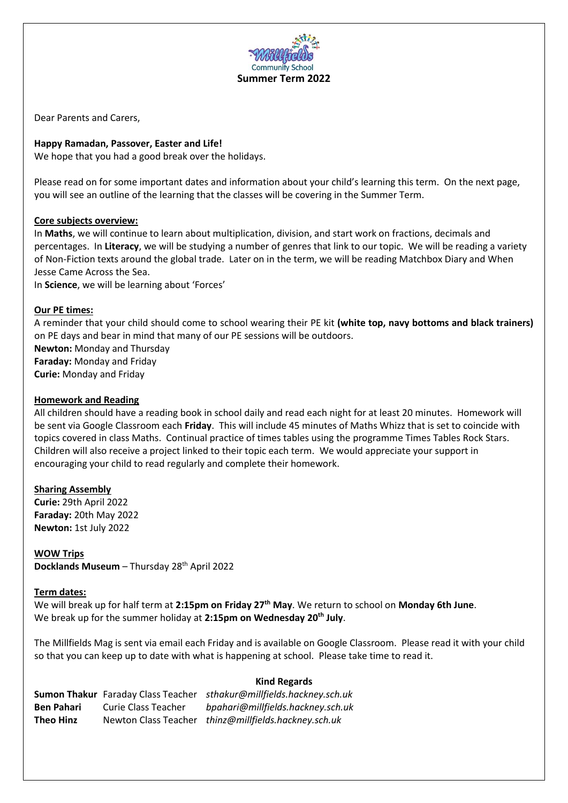

Dear Parents and Carers,

# **Happy Ramadan, Passover, Easter and Life!**

We hope that you had a good break over the holidays.

Please read on for some important dates and information about your child's learning this term. On the next page, you will see an outline of the learning that the classes will be covering in the Summer Term.

## **Core subjects overview:**

In **Maths**, we will continue to learn about multiplication, division, and start work on fractions, decimals and percentages. In **Literacy**, we will be studying a number of genres that link to our topic. We will be reading a variety of Non-Fiction texts around the global trade. Later on in the term, we will be reading Matchbox Diary and When Jesse Came Across the Sea.

In **Science**, we will be learning about 'Forces'

### **Our PE times:**

A reminder that your child should come to school wearing their PE kit **(white top, navy bottoms and black trainers)** on PE days and bear in mind that many of our PE sessions will be outdoors. **Newton:** Monday and Thursday **Faraday:** Monday and Friday **Curie:** Monday and Friday

#### **Homework and Reading**

All children should have a reading book in school daily and read each night for at least 20 minutes. Homework will be sent via Google Classroom each **Friday**. This will include 45 minutes of Maths Whizz that is set to coincide with topics covered in class Maths. Continual practice of times tables using the programme Times Tables Rock Stars. Children will also receive a project linked to their topic each term. We would appreciate your support in encouraging your child to read regularly and complete their homework.

#### **Sharing Assembly**

**Curie:** 29th April 2022 **Faraday:** 20th May 2022 **Newton:** 1st July 2022

## **WOW Trips**

**Docklands Museum** – Thursday 28th April 2022

## **Term dates:**

We will break up for half term at **2:15pm on Friday 27th May**. We return to school on **Monday 6th June**. We break up for the summer holiday at **2:15pm on Wednesday 20th July**.

The Millfields Mag is sent via email each Friday and is available on Google Classroom. Please read it with your child so that you can keep up to date with what is happening at school. Please take time to read it.

|                   |                     | <b>NIIU REGALUS</b>                                                  |
|-------------------|---------------------|----------------------------------------------------------------------|
|                   |                     | Sumon Thakur Faraday Class Teacher sthakur@millfields.hackney.sch.uk |
| <b>Ben Pahari</b> | Curie Class Teacher | bpahari@millfields.hackney.sch.uk                                    |
| Theo Hinz         |                     | Newton Class Teacher thinz@millfields.hackney.sch.uk                 |

## **Kind Regards**